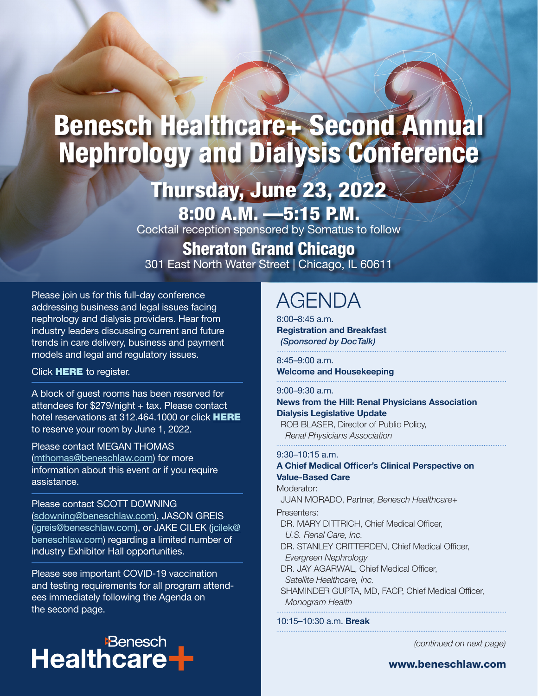# Benesch Healthcare+ Second Annual Nephrology and Dialysis Conference

# Thursday, June 23, 2022

**8:00 A.M.**  $-5:15$  **P.M.** Cocktail reception sponsored by Somatus to follow

## Sheraton Grand Chicago

301 East North Water Street | Chicago, IL 60611

Please join us for this full-day conference addressing business and legal issues facing nephrology and dialysis providers. Hear from industry leaders discussing current and future trends in care delivery, business and payment models and legal and regulatory issues.

## Click **[HERE](https://app.clientpay.com/home/payment/#/paymentPage/b266f1cd-06fd-4d04-a6c2-cd7ad11fdbf8)** to register.

A block of guest rooms has been reserved for attendees for \$279/night + tax. Please contact hotel reservations at 312.464.1000 or click [HERE](https://book.passkey.com/e/50299009) to reserve your room by June 1, 2022.

### Please contact MEGAN THOMAS

([mthomas@beneschlaw.com\)](mailto:jgreis%40beneschlaw.com?subject=) for more information about this event or if you require assistance.

## Please contact SCOTT DOWNING

([sdowning@beneschlaw.com](mailto:sdowning%40beneschlaw.com?subject=)), JASON GREIS ([jgreis@beneschlaw.com](mailto:jgreis%40beneschlaw.com?subject=)), or JAKE CILEK (jcilek@ beneschlaw.com) regarding a limited number of industry Exhibitor Hall opportunities.

Please see important COVID-19 vaccination and testing requirements for all program attendees immediately following the Agenda on the second page.

## **Benesch Healthcare**

## AGENDA

8:00–8:45 a.m. **Registration and Breakfast** *(Sponsored by DocTalk)*

## 8:45–9:00 a.m.

**Welcome and Housekeeping**

## 9:00–9:30 a.m.

**News from the Hill: Renal Physicians Association Dialysis Legislative Update** ROB BLASER, Director of Public Policy,

*Renal Physicians Association*

## 9:30–10:15 a.m.

#### **A Chief Medical Officer's Clinical Perspective on Value-Based Care** Moderator:

JUAN MORADO, Partner, *Benesch Healthcare+* Presenters: DR. MARY DITTRICH, Chief Medical Officer, *U.S. Renal Care, Inc.*

DR. STANLEY CRITTERDEN, Chief Medical Officer, *Evergreen Nephrology*

DR. JAY AGARWAL, Chief Medical Officer, *Satellite Healthcare, Inc.*

SHAMINDER GUPTA, MD, FACP, Chief Medical Officer, *Monogram Health*

## 10:15–10:30 a.m. **Break**

*(continued on next page)*

www.beneschlaw.com